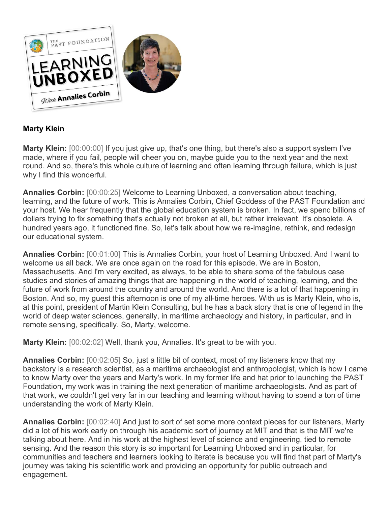

## **Marty Klein**

**Marty Klein:** [00:00:00] If you just give up, that's one thing, but there's also a support system I've made, where if you fail, people will cheer you on, maybe guide you to the next year and the next round. And so, there's this whole culture of learning and often learning through failure, which is just why I find this wonderful.

**Annalies Corbin:** [00:00:25] Welcome to Learning Unboxed, a conversation about teaching, learning, and the future of work. This is Annalies Corbin, Chief Goddess of the PAST Foundation and your host. We hear frequently that the global education system is broken. In fact, we spend billions of dollars trying to fix something that's actually not broken at all, but rather irrelevant. It's obsolete. A hundred years ago, it functioned fine. So, let's talk about how we re-imagine, rethink, and redesign our educational system.

**Annalies Corbin:** [00:01:00] This is Annalies Corbin, your host of Learning Unboxed. And I want to welcome us all back. We are once again on the road for this episode. We are in Boston, Massachusetts. And I'm very excited, as always, to be able to share some of the fabulous case studies and stories of amazing things that are happening in the world of teaching, learning, and the future of work from around the country and around the world. And there is a lot of that happening in Boston. And so, my guest this afternoon is one of my all-time heroes. With us is Marty Klein, who is, at this point, president of Martin Klein Consulting, but he has a back story that is one of legend in the world of deep water sciences, generally, in maritime archaeology and history, in particular, and in remote sensing, specifically. So, Marty, welcome.

**Marty Klein:** [00:02:02] Well, thank you, Annalies. It's great to be with you.

**Annalies Corbin:** [00:02:05] So, just a little bit of context, most of my listeners know that my backstory is a research scientist, as a maritime archaeologist and anthropologist, which is how I came to know Marty over the years and Marty's work. In my former life and hat prior to launching the PAST Foundation, my work was in training the next generation of maritime archaeologists. And as part of that work, we couldn't get very far in our teaching and learning without having to spend a ton of time understanding the work of Marty Klein.

**Annalies Corbin:** [00:02:40] And just to sort of set some more context pieces for our listeners, Marty did a lot of his work early on through his academic sort of journey at MIT and that is the MIT we're talking about here. And in his work at the highest level of science and engineering, tied to remote sensing. And the reason this story is so important for Learning Unboxed and in particular, for communities and teachers and learners looking to iterate is because you will find that part of Marty's journey was taking his scientific work and providing an opportunity for public outreach and engagement.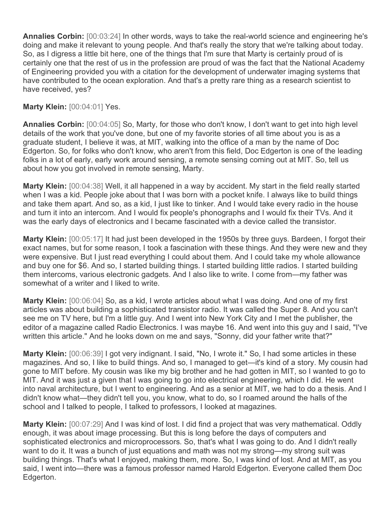**Annalies Corbin:** [00:03:24] In other words, ways to take the real-world science and engineering he's doing and make it relevant to young people. And that's really the story that we're talking about today. So, as I digress a little bit here, one of the things that I'm sure that Marty is certainly proud of is certainly one that the rest of us in the profession are proud of was the fact that the National Academy of Engineering provided you with a citation for the development of underwater imaging systems that have contributed to the ocean exploration. And that's a pretty rare thing as a research scientist to have received, yes?

## **Marty Klein:** [00:04:01] Yes.

**Annalies Corbin:** [00:04:05] So, Marty, for those who don't know, I don't want to get into high level details of the work that you've done, but one of my favorite stories of all time about you is as a graduate student, I believe it was, at MIT, walking into the office of a man by the name of Doc Edgerton. So, for folks who don't know, who aren't from this field, Doc Edgerton is one of the leading folks in a lot of early, early work around sensing, a remote sensing coming out at MIT. So, tell us about how you got involved in remote sensing, Marty.

**Marty Klein:** [00:04:38] Well, it all happened in a way by accident. My start in the field really started when I was a kid. People joke about that I was born with a pocket knife. I always like to build things and take them apart. And so, as a kid, I just like to tinker. And I would take every radio in the house and turn it into an intercom. And I would fix people's phonographs and I would fix their TVs. And it was the early days of electronics and I became fascinated with a device called the transistor.

**Marty Klein:** [00:05:17] It had just been developed in the 1950s by three guys. Bardeen, I forgot their exact names, but for some reason, I took a fascination with these things. And they were new and they were expensive. But I just read everything I could about them. And I could take my whole allowance and buy one for \$6. And so, I started building things. I started building little radios. I started building them intercoms, various electronic gadgets. And I also like to write. I come from—my father was somewhat of a writer and I liked to write.

**Marty Klein:** [00:06:04] So, as a kid, I wrote articles about what I was doing. And one of my first articles was about building a sophisticated transistor radio. It was called the Super 8. And you can't see me on TV here, but I'm a little guy. And I went into New York City and I met the publisher, the editor of a magazine called Radio Electronics. I was maybe 16. And went into this guy and I said, "I've written this article." And he looks down on me and says, "Sonny, did your father write that?"

Marty Klein: [00:06:39] I got very indignant. I said, "No, I wrote it." So, I had some articles in these magazines. And so, I like to build things. And so, I managed to get—it's kind of a story. My cousin had gone to MIT before. My cousin was like my big brother and he had gotten in MIT, so I wanted to go to MIT. And it was just a given that I was going to go into electrical engineering, which I did. He went into naval architecture, but I went to engineering. And as a senior at MIT, we had to do a thesis. And I didn't know what—they didn't tell you, you know, what to do, so I roamed around the halls of the school and I talked to people, I talked to professors, I looked at magazines.

**Marty Klein:** [00:07:29] And I was kind of lost. I did find a project that was very mathematical. Oddly enough, it was about image processing. But this is long before the days of computers and sophisticated electronics and microprocessors. So, that's what I was going to do. And I didn't really want to do it. It was a bunch of just equations and math was not my strong—my strong suit was building things. That's what I enjoyed, making them, more. So, I was kind of lost. And at MIT, as you said, I went into—there was a famous professor named Harold Edgerton. Everyone called them Doc Edgerton.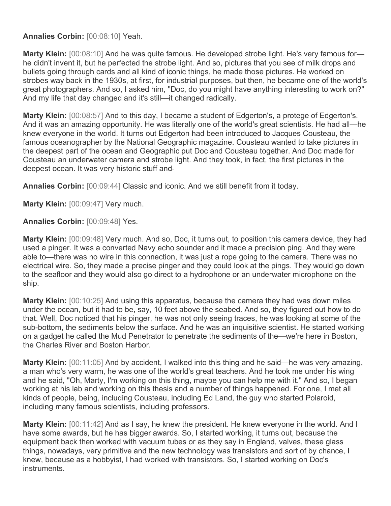**Annalies Corbin:** [00:08:10] Yeah.

Marty Klein:  $[00:08:10]$  And he was quite famous. He developed strobe light. He's very famous forhe didn't invent it, but he perfected the strobe light. And so, pictures that you see of milk drops and bullets going through cards and all kind of iconic things, he made those pictures. He worked on strobes way back in the 1930s, at first, for industrial purposes, but then, he became one of the world's great photographers. And so, I asked him, "Doc, do you might have anything interesting to work on?" And my life that day changed and it's still—it changed radically.

**Marty Klein:** [00:08:57] And to this day, I became a student of Edgerton's, a protege of Edgerton's. And it was an amazing opportunity. He was literally one of the world's great scientists. He had all—he knew everyone in the world. It turns out Edgerton had been introduced to Jacques Cousteau, the famous oceanographer by the National Geographic magazine. Cousteau wanted to take pictures in the deepest part of the ocean and Geographic put Doc and Cousteau together. And Doc made for Cousteau an underwater camera and strobe light. And they took, in fact, the first pictures in the deepest ocean. It was very historic stuff and-

**Annalies Corbin:** [00:09:44] Classic and iconic. And we still benefit from it today.

**Marty Klein:** [00:09:47] Very much.

**Annalies Corbin:** [00:09:48] Yes.

**Marty Klein:** [00:09:48] Very much. And so, Doc, it turns out, to position this camera device, they had used a pinger. It was a converted Navy echo sounder and it made a precision ping. And they were able to—there was no wire in this connection, it was just a rope going to the camera. There was no electrical wire. So, they made a precise pinger and they could look at the pings. They would go down to the seafloor and they would also go direct to a hydrophone or an underwater microphone on the ship.

**Marty Klein:** [00:10:25] And using this apparatus, because the camera they had was down miles under the ocean, but it had to be, say, 10 feet above the seabed. And so, they figured out how to do that. Well, Doc noticed that his pinger, he was not only seeing traces, he was looking at some of the sub-bottom, the sediments below the surface. And he was an inquisitive scientist. He started working on a gadget he called the Mud Penetrator to penetrate the sediments of the—we're here in Boston, the Charles River and Boston Harbor.

**Marty Klein:** [00:11:05] And by accident, I walked into this thing and he said—he was very amazing, a man who's very warm, he was one of the world's great teachers. And he took me under his wing and he said, "Oh, Marty, I'm working on this thing, maybe you can help me with it." And so, I began working at his lab and working on this thesis and a number of things happened. For one, I met all kinds of people, being, including Cousteau, including Ed Land, the guy who started Polaroid, including many famous scientists, including professors.

**Marty Klein:** [00:11:42] And as I say, he knew the president. He knew everyone in the world. And I have some awards, but he has bigger awards. So, I started working, it turns out, because the equipment back then worked with vacuum tubes or as they say in England, valves, these glass things, nowadays, very primitive and the new technology was transistors and sort of by chance, I knew, because as a hobbyist, I had worked with transistors. So, I started working on Doc's instruments.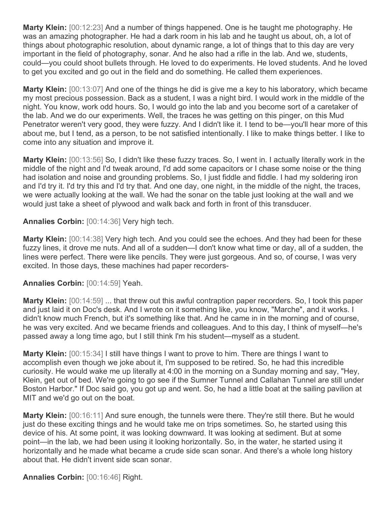**Marty Klein:** [00:12:23] And a number of things happened. One is he taught me photography. He was an amazing photographer. He had a dark room in his lab and he taught us about, oh, a lot of things about photographic resolution, about dynamic range, a lot of things that to this day are very important in the field of photography, sonar. And he also had a rifle in the lab. And we, students, could—you could shoot bullets through. He loved to do experiments. He loved students. And he loved to get you excited and go out in the field and do something. He called them experiences.

**Marty Klein:** [00:13:07] And one of the things he did is give me a key to his laboratory, which became my most precious possession. Back as a student, I was a night bird. I would work in the middle of the night. You know, work odd hours. So, I would go into the lab and you become sort of a caretaker of the lab. And we do our experiments. Well, the traces he was getting on this pinger, on this Mud Penetrator weren't very good, they were fuzzy. And I didn't like it. I tend to be—you'll hear more of this about me, but I tend, as a person, to be not satisfied intentionally. I like to make things better. I like to come into any situation and improve it.

**Marty Klein:** [00:13:56] So, I didn't like these fuzzy traces. So, I went in. I actually literally work in the middle of the night and I'd tweak around, I'd add some capacitors or I chase some noise or the thing had isolation and noise and grounding problems. So, I just fiddle and fiddle. I had my soldering iron and I'd try it. I'd try this and I'd try that. And one day, one night, in the middle of the night, the traces, we were actually looking at the wall. We had the sonar on the table just looking at the wall and we would just take a sheet of plywood and walk back and forth in front of this transducer.

**Annalies Corbin:** [00:14:36] Very high tech.

**Marty Klein:** [00:14:38] Very high tech. And you could see the echoes. And they had been for these fuzzy lines, it drove me nuts. And all of a sudden—I don't know what time or day, all of a sudden, the lines were perfect. There were like pencils. They were just gorgeous. And so, of course, I was very excited. In those days, these machines had paper recorders-

**Annalies Corbin:** [00:14:59] Yeah.

**Marty Klein:** [00:14:59] ... that threw out this awful contraption paper recorders. So, I took this paper and just laid it on Doc's desk. And I wrote on it something like, you know, "Marche", and it works. I didn't know much French, but it's something like that. And he came in in the morning and of course, he was very excited. And we became friends and colleagues. And to this day, I think of myself—he's passed away a long time ago, but I still think I'm his student—myself as a student.

**Marty Klein:** [00:15:34] I still have things I want to prove to him. There are things I want to accomplish even though we joke about it, I'm supposed to be retired. So, he had this incredible curiosity. He would wake me up literally at 4:00 in the morning on a Sunday morning and say, "Hey, Klein, get out of bed. We're going to go see if the Sumner Tunnel and Callahan Tunnel are still under Boston Harbor." If Doc said go, you got up and went. So, he had a little boat at the sailing pavilion at MIT and we'd go out on the boat.

**Marty Klein:** [00:16:11] And sure enough, the tunnels were there. They're still there. But he would just do these exciting things and he would take me on trips sometimes. So, he started using this device of his. At some point, it was looking downward. It was looking at sediment. But at some point—in the lab, we had been using it looking horizontally. So, in the water, he started using it horizontally and he made what became a crude side scan sonar. And there's a whole long history about that. He didn't invent side scan sonar.

**Annalies Corbin:** [00:16:46] Right.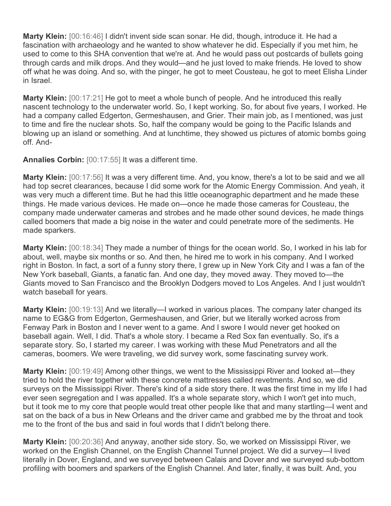**Marty Klein:** [00:16:46] I didn't invent side scan sonar. He did, though, introduce it. He had a fascination with archaeology and he wanted to show whatever he did. Especially if you met him, he used to come to this SHA convention that we're at. And he would pass out postcards of bullets going through cards and milk drops. And they would—and he just loved to make friends. He loved to show off what he was doing. And so, with the pinger, he got to meet Cousteau, he got to meet Elisha Linder in Israel.

**Marty Klein:** [00:17:21] He got to meet a whole bunch of people. And he introduced this really nascent technology to the underwater world. So, I kept working. So, for about five years, I worked. He had a company called Edgerton, Germeshausen, and Grier. Their main job, as I mentioned, was just to time and fire the nuclear shots. So, half the company would be going to the Pacific Islands and blowing up an island or something. And at lunchtime, they showed us pictures of atomic bombs going off. And-

**Annalies Corbin:** [00:17:55] It was a different time.

**Marty Klein:** [00:17:56] It was a very different time. And, you know, there's a lot to be said and we all had top secret clearances, because I did some work for the Atomic Energy Commission. And yeah, it was very much a different time. But he had this little oceanographic department and he made these things. He made various devices. He made on—once he made those cameras for Cousteau, the company made underwater cameras and strobes and he made other sound devices, he made things called boomers that made a big noise in the water and could penetrate more of the sediments. He made sparkers.

**Marty Klein:** [00:18:34] They made a number of things for the ocean world. So, I worked in his lab for about, well, maybe six months or so. And then, he hired me to work in his company. And I worked right in Boston. In fact, a sort of a funny story there, I grew up in New York City and I was a fan of the New York baseball, Giants, a fanatic fan. And one day, they moved away. They moved to—the Giants moved to San Francisco and the Brooklyn Dodgers moved to Los Angeles. And I just wouldn't watch baseball for years.

**Marty Klein:** [00:19:13] And we literally—I worked in various places. The company later changed its name to EG&G from Edgerton, Germeshausen, and Grier, but we literally worked across from Fenway Park in Boston and I never went to a game. And I swore I would never get hooked on baseball again. Well, I did. That's a whole story. I became a Red Sox fan eventually. So, it's a separate story. So, I started my career. I was working with these Mud Penetrators and all the cameras, boomers. We were traveling, we did survey work, some fascinating survey work.

**Marty Klein:** [00:19:49] Among other things, we went to the Mississippi River and looked at—they tried to hold the river together with these concrete mattresses called revetments. And so, we did surveys on the Mississippi River. There's kind of a side story there. It was the first time in my life I had ever seen segregation and I was appalled. It's a whole separate story, which I won't get into much, but it took me to my core that people would treat other people like that and many startling—I went and sat on the back of a bus in New Orleans and the driver came and grabbed me by the throat and took me to the front of the bus and said in foul words that I didn't belong there.

**Marty Klein:** [00:20:36] And anyway, another side story. So, we worked on Mississippi River, we worked on the English Channel, on the English Channel Tunnel project. We did a survey—I lived literally in Dover, England, and we surveyed between Calais and Dover and we surveyed sub-bottom profiling with boomers and sparkers of the English Channel. And later, finally, it was built. And, you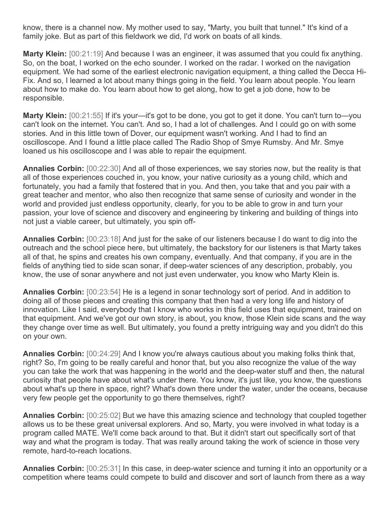know, there is a channel now. My mother used to say, "Marty, you built that tunnel." It's kind of a family joke. But as part of this fieldwork we did, I'd work on boats of all kinds.

**Marty Klein:** [00:21:19] And because I was an engineer, it was assumed that you could fix anything. So, on the boat, I worked on the echo sounder. I worked on the radar. I worked on the navigation equipment. We had some of the earliest electronic navigation equipment, a thing called the Decca Hi-Fix. And so, I learned a lot about many things going in the field. You learn about people. You learn about how to make do. You learn about how to get along, how to get a job done, how to be responsible.

**Marty Klein:** [00:21:55] If it's your—it's got to be done, you got to get it done. You can't turn to—you can't look on the internet. You can't. And so, I had a lot of challenges. And I could go on with some stories. And in this little town of Dover, our equipment wasn't working. And I had to find an oscilloscope. And I found a little place called The Radio Shop of Smye Rumsby. And Mr. Smye loaned us his oscilloscope and I was able to repair the equipment.

**Annalies Corbin:** [00:22:30] And all of those experiences, we say stories now, but the reality is that all of those experiences couched in, you know, your native curiosity as a young child, which and fortunately, you had a family that fostered that in you. And then, you take that and you pair with a great teacher and mentor, who also then recognize that same sense of curiosity and wonder in the world and provided just endless opportunity, clearly, for you to be able to grow in and turn your passion, your love of science and discovery and engineering by tinkering and building of things into not just a viable career, but ultimately, you spin off-

**Annalies Corbin:** [00:23:18] And just for the sake of our listeners because I do want to dig into the outreach and the school piece here, but ultimately, the backstory for our listeners is that Marty takes all of that, he spins and creates his own company, eventually. And that company, if you are in the fields of anything tied to side scan sonar, if deep-water sciences of any description, probably, you know, the use of sonar anywhere and not just even underwater, you know who Marty Klein is.

**Annalies Corbin:** [00:23:54] He is a legend in sonar technology sort of period. And in addition to doing all of those pieces and creating this company that then had a very long life and history of innovation. Like I said, everybody that I know who works in this field uses that equipment, trained on that equipment. And we've got our own story, is about, you know, those Klein side scans and the way they change over time as well. But ultimately, you found a pretty intriguing way and you didn't do this on your own.

**Annalies Corbin:** [00:24:29] And I know you're always cautious about you making folks think that, right? So, I'm going to be really careful and honor that, but you also recognize the value of the way you can take the work that was happening in the world and the deep-water stuff and then, the natural curiosity that people have about what's under there. You know, it's just like, you know, the questions about what's up there in space, right? What's down there under the water, under the oceans, because very few people get the opportunity to go there themselves, right?

**Annalies Corbin:** [00:25:02] But we have this amazing science and technology that coupled together allows us to be these great universal explorers. And so, Marty, you were involved in what today is a program called MATE. We'll come back around to that. But it didn't start out specifically sort of that way and what the program is today. That was really around taking the work of science in those very remote, hard-to-reach locations.

**Annalies Corbin:** [00:25:31] In this case, in deep-water science and turning it into an opportunity or a competition where teams could compete to build and discover and sort of launch from there as a way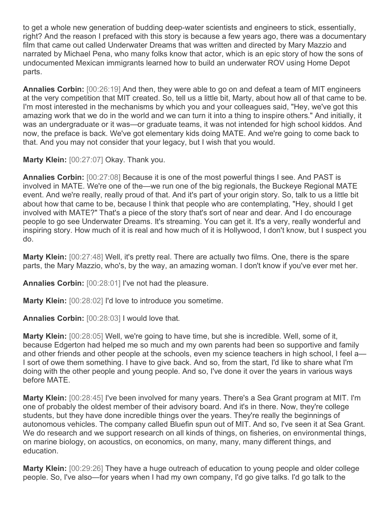to get a whole new generation of budding deep-water scientists and engineers to stick, essentially, right? And the reason I prefaced with this story is because a few years ago, there was a documentary film that came out called Underwater Dreams that was written and directed by Mary Mazzio and narrated by Michael Pena, who many folks know that actor, which is an epic story of how the sons of undocumented Mexican immigrants learned how to build an underwater ROV using Home Depot parts.

**Annalies Corbin:** [00:26:19] And then, they were able to go on and defeat a team of MIT engineers at the very competition that MIT created. So, tell us a little bit, Marty, about how all of that came to be. I'm most interested in the mechanisms by which you and your colleagues said, "Hey, we've got this amazing work that we do in the world and we can turn it into a thing to inspire others." And initially, it was an undergraduate or it was—or graduate teams, it was not intended for high school kiddos. And now, the preface is back. We've got elementary kids doing MATE. And we're going to come back to that. And you may not consider that your legacy, but I wish that you would.

**Marty Klein:** [00:27:07] Okay. Thank you.

**Annalies Corbin:** [00:27:08] Because it is one of the most powerful things I see. And PAST is involved in MATE. We're one of the—we run one of the big regionals, the Buckeye Regional MATE event. And we're really, really proud of that. And it's part of your origin story. So, talk to us a little bit about how that came to be, because I think that people who are contemplating, "Hey, should I get involved with MATE?" That's a piece of the story that's sort of near and dear. And I do encourage people to go see Underwater Dreams. It's streaming. You can get it. It's a very, really wonderful and inspiring story. How much of it is real and how much of it is Hollywood, I don't know, but I suspect you do.

**Marty Klein:** [00:27:48] Well, it's pretty real. There are actually two films. One, there is the spare parts, the Mary Mazzio, who's, by the way, an amazing woman. I don't know if you've ever met her.

**Annalies Corbin:** [00:28:01] I've not had the pleasure.

**Marty Klein:** [00:28:02] I'd love to introduce you sometime.

**Annalies Corbin:** [00:28:03] I would love that.

**Marty Klein:** [00:28:05] Well, we're going to have time, but she is incredible. Well, some of it, because Edgerton had helped me so much and my own parents had been so supportive and family and other friends and other people at the schools, even my science teachers in high school, I feel a— I sort of owe them something. I have to give back. And so, from the start, I'd like to share what I'm doing with the other people and young people. And so, I've done it over the years in various ways before MATE.

**Marty Klein:** [00:28:45] I've been involved for many years. There's a Sea Grant program at MIT. I'm one of probably the oldest member of their advisory board. And it's in there. Now, they're college students, but they have done incredible things over the years. They're really the beginnings of autonomous vehicles. The company called Bluefin spun out of MIT. And so, I've seen it at Sea Grant. We do research and we support research on all kinds of things, on fisheries, on environmental things, on marine biology, on acoustics, on economics, on many, many, many different things, and education.

**Marty Klein:** [00:29:26] They have a huge outreach of education to young people and older college people. So, I've also—for years when I had my own company, I'd go give talks. I'd go talk to the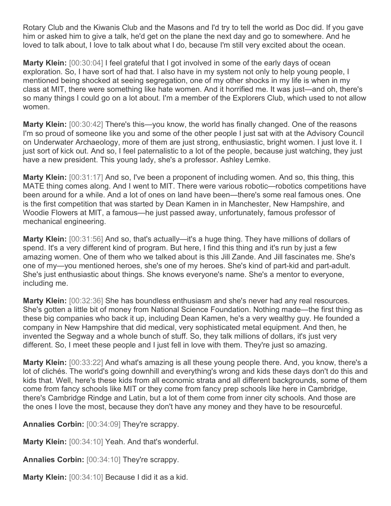Rotary Club and the Kiwanis Club and the Masons and I'd try to tell the world as Doc did. If you gave him or asked him to give a talk, he'd get on the plane the next day and go to somewhere. And he loved to talk about, I love to talk about what I do, because I'm still very excited about the ocean.

**Marty Klein:** [00:30:04] I feel grateful that I got involved in some of the early days of ocean exploration. So, I have sort of had that. I also have in my system not only to help young people, I mentioned being shocked at seeing segregation, one of my other shocks in my life is when in my class at MIT, there were something like hate women. And it horrified me. It was just—and oh, there's so many things I could go on a lot about. I'm a member of the Explorers Club, which used to not allow women.

**Marty Klein:** [00:30:42] There's this—you know, the world has finally changed. One of the reasons I'm so proud of someone like you and some of the other people I just sat with at the Advisory Council on Underwater Archaeology, more of them are just strong, enthusiastic, bright women. I just love it. I just sort of kick out. And so, I feel paternalistic to a lot of the people, because just watching, they just have a new president. This young lady, she's a professor. Ashley Lemke.

**Marty Klein:** [00:31:17] And so, I've been a proponent of including women. And so, this thing, this MATE thing comes along. And I went to MIT. There were various robotic—robotics competitions have been around for a while. And a lot of ones on land have been—there's some real famous ones. One is the first competition that was started by Dean Kamen in in Manchester, New Hampshire, and Woodie Flowers at MIT, a famous—he just passed away, unfortunately, famous professor of mechanical engineering.

**Marty Klein:** [00:31:56] And so, that's actually—it's a huge thing. They have millions of dollars of spend. It's a very different kind of program. But here, I find this thing and it's run by just a few amazing women. One of them who we talked about is this Jill Zande. And Jill fascinates me. She's one of my—you mentioned heroes, she's one of my heroes. She's kind of part-kid and part-adult. She's just enthusiastic about things. She knows everyone's name. She's a mentor to everyone, including me.

**Marty Klein:** [00:32:36] She has boundless enthusiasm and she's never had any real resources. She's gotten a little bit of money from National Science Foundation. Nothing made—the first thing as these big companies who back it up, including Dean Kamen, he's a very wealthy guy. He founded a company in New Hampshire that did medical, very sophisticated metal equipment. And then, he invented the Segway and a whole bunch of stuff. So, they talk millions of dollars, it's just very different. So, I meet these people and I just fell in love with them. They're just so amazing.

**Marty Klein:** [00:33:22] And what's amazing is all these young people there. And, you know, there's a lot of clichés. The world's going downhill and everything's wrong and kids these days don't do this and kids that. Well, here's these kids from all economic strata and all different backgrounds, some of them come from fancy schools like MIT or they come from fancy prep schools like here in Cambridge, there's Cambridge Rindge and Latin, but a lot of them come from inner city schools. And those are the ones I love the most, because they don't have any money and they have to be resourceful.

**Annalies Corbin:** [00:34:09] They're scrappy.

**Marty Klein:** [00:34:10] Yeah. And that's wonderful.

**Annalies Corbin:** [00:34:10] They're scrappy.

**Marty Klein:** [00:34:10] Because I did it as a kid.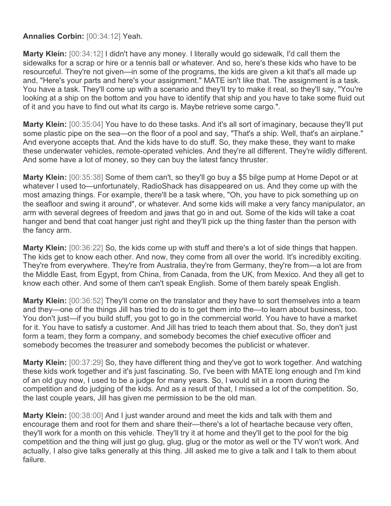## **Annalies Corbin:** [00:34:12] Yeah.

**Marty Klein:** [00:34:12] I didn't have any money. I literally would go sidewalk, I'd call them the sidewalks for a scrap or hire or a tennis ball or whatever. And so, here's these kids who have to be resourceful. They're not given—in some of the programs, the kids are given a kit that's all made up and, "Here's your parts and here's your assignment." MATE isn't like that. The assignment is a task. You have a task. They'll come up with a scenario and they'll try to make it real, so they'll say, "You're looking at a ship on the bottom and you have to identify that ship and you have to take some fluid out of it and you have to find out what its cargo is. Maybe retrieve some cargo.".

**Marty Klein:** [00:35:04] You have to do these tasks. And it's all sort of imaginary, because they'll put some plastic pipe on the sea—on the floor of a pool and say, "That's a ship. Well, that's an airplane." And everyone accepts that. And the kids have to do stuff. So, they make these, they want to make these underwater vehicles, remote-operated vehicles. And they're all different. They're wildly different. And some have a lot of money, so they can buy the latest fancy thruster.

**Marty Klein:** [00:35:38] Some of them can't, so they'll go buy a \$5 bilge pump at Home Depot or at whatever I used to—unfortunately, RadioShack has disappeared on us. And they come up with the most amazing things. For example, there'll be a task where, "Oh, you have to pick something up on the seafloor and swing it around", or whatever. And some kids will make a very fancy manipulator, an arm with several degrees of freedom and jaws that go in and out. Some of the kids will take a coat hanger and bend that coat hanger just right and they'll pick up the thing faster than the person with the fancy arm.

**Marty Klein:** [00:36:22] So, the kids come up with stuff and there's a lot of side things that happen. The kids get to know each other. And now, they come from all over the world. It's incredibly exciting. They're from everywhere. They're from Australia, they're from Germany, they're from—a lot are from the Middle East, from Egypt, from China, from Canada, from the UK, from Mexico. And they all get to know each other. And some of them can't speak English. Some of them barely speak English.

**Marty Klein:** [00:36:52] They'll come on the translator and they have to sort themselves into a team and they—one of the things Jill has tried to do is to get them into the—to learn about business, too. You don't just—if you build stuff, you got to go in the commercial world. You have to have a market for it. You have to satisfy a customer. And Jill has tried to teach them about that. So, they don't just form a team, they form a company, and somebody becomes the chief executive officer and somebody becomes the treasurer and somebody becomes the publicist or whatever.

**Marty Klein:** [00:37:29] So, they have different thing and they've got to work together. And watching these kids work together and it's just fascinating. So, I've been with MATE long enough and I'm kind of an old guy now, I used to be a judge for many years. So, I would sit in a room during the competition and do judging of the kids. And as a result of that, I missed a lot of the competition. So, the last couple years, Jill has given me permission to be the old man.

**Marty Klein:** [00:38:00] And I just wander around and meet the kids and talk with them and encourage them and root for them and share their—there's a lot of heartache because very often, they'll work for a month on this vehicle. They'll try it at home and they'll get to the pool for the big competition and the thing will just go glug, glug, glug or the motor as well or the TV won't work. And actually, I also give talks generally at this thing. Jill asked me to give a talk and I talk to them about failure.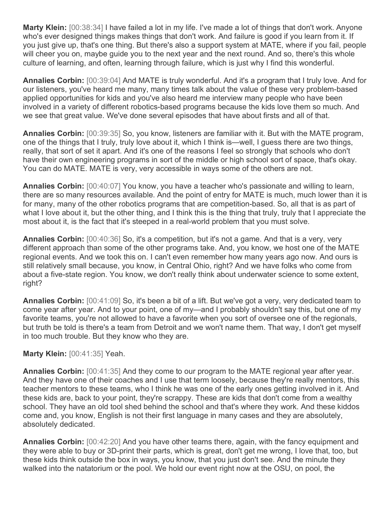**Marty Klein:** [00:38:34] I have failed a lot in my life. I've made a lot of things that don't work. Anyone who's ever designed things makes things that don't work. And failure is good if you learn from it. If you just give up, that's one thing. But there's also a support system at MATE, where if you fail, people will cheer you on, maybe guide you to the next year and the next round. And so, there's this whole culture of learning, and often, learning through failure, which is just why I find this wonderful.

**Annalies Corbin:** [00:39:04] And MATE is truly wonderful. And it's a program that I truly love. And for our listeners, you've heard me many, many times talk about the value of these very problem-based applied opportunities for kids and you've also heard me interview many people who have been involved in a variety of different robotics-based programs because the kids love them so much. And we see that great value. We've done several episodes that have about firsts and all of that.

**Annalies Corbin:** [00:39:35] So, you know, listeners are familiar with it. But with the MATE program, one of the things that I truly, truly love about it, which I think is—well, I guess there are two things, really, that sort of set it apart. And it's one of the reasons I feel so strongly that schools who don't have their own engineering programs in sort of the middle or high school sort of space, that's okay. You can do MATE. MATE is very, very accessible in ways some of the others are not.

**Annalies Corbin:** [00:40:07] You know, you have a teacher who's passionate and willing to learn, there are so many resources available. And the point of entry for MATE is much, much lower than it is for many, many of the other robotics programs that are competition-based. So, all that is as part of what I love about it, but the other thing, and I think this is the thing that truly, truly that I appreciate the most about it, is the fact that it's steeped in a real-world problem that you must solve.

**Annalies Corbin:** [00:40:36] So, it's a competition, but it's not a game. And that is a very, very different approach than some of the other programs take. And, you know, we host one of the MATE regional events. And we took this on. I can't even remember how many years ago now. And ours is still relatively small because, you know, in Central Ohio, right? And we have folks who come from about a five-state region. You know, we don't really think about underwater science to some extent, right?

**Annalies Corbin:** [00:41:09] So, it's been a bit of a lift. But we've got a very, very dedicated team to come year after year. And to your point, one of my—and I probably shouldn't say this, but one of my favorite teams, you're not allowed to have a favorite when you sort of oversee one of the regionals, but truth be told is there's a team from Detroit and we won't name them. That way, I don't get myself in too much trouble. But they know who they are.

## **Marty Klein:** [00:41:35] Yeah.

**Annalies Corbin:** [00:41:35] And they come to our program to the MATE regional year after year. And they have one of their coaches and I use that term loosely, because they're really mentors, this teacher mentors to these teams, who I think he was one of the early ones getting involved in it. And these kids are, back to your point, they're scrappy. These are kids that don't come from a wealthy school. They have an old tool shed behind the school and that's where they work. And these kiddos come and, you know, English is not their first language in many cases and they are absolutely, absolutely dedicated.

**Annalies Corbin:** [00:42:20] And you have other teams there, again, with the fancy equipment and they were able to buy or 3D-print their parts, which is great, don't get me wrong, I love that, too, but these kids think outside the box in ways, you know, that you just don't see. And the minute they walked into the natatorium or the pool. We hold our event right now at the OSU, on pool, the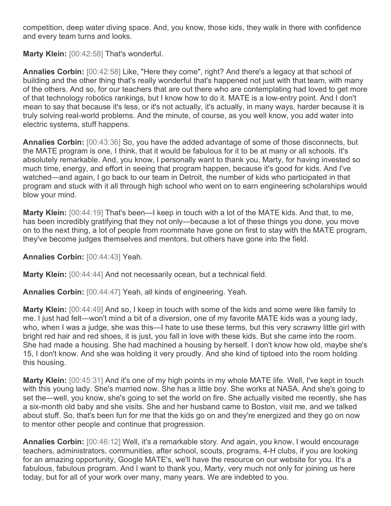competition, deep water diving space. And, you know, those kids, they walk in there with confidence and every team turns and looks.

**Marty Klein:** [00:42:58] That's wonderful.

**Annalies Corbin:** [00:42:58] Like, "Here they come", right? And there's a legacy at that school of building and the other thing that's really wonderful that's happened not just with that team, with many of the others. And so, for our teachers that are out there who are contemplating had loved to get more of that technology robotics rankings, but I know how to do it. MATE is a low-entry point. And I don't mean to say that because it's less, or it's not actually, it's actually, in many ways, harder because it is truly solving real-world problems. And the minute, of course, as you well know, you add water into electric systems, stuff happens.

**Annalies Corbin:** [00:43:36] So, you have the added advantage of some of those disconnects, but the MATE program is one, I think, that it would be fabulous for it to be at many or all schools. It's absolutely remarkable. And, you know, I personally want to thank you, Marty, for having invested so much time, energy, and effort in seeing that program happen, because it's good for kids. And I've watched—and again, I go back to our team in Detroit, the number of kids who participated in that program and stuck with it all through high school who went on to earn engineering scholarships would blow your mind.

**Marty Klein:** [00:44:19] That's been—I keep in touch with a lot of the MATE kids. And that, to me, has been incredibly gratifying that they not only—because a lot of these things you done, you move on to the next thing, a lot of people from roommate have gone on first to stay with the MATE program, they've become judges themselves and mentors, but others have gone into the field.

**Annalies Corbin:** [00:44:43] Yeah.

**Marty Klein:** [00:44:44] And not necessarily ocean, but a technical field.

**Annalies Corbin:** [00:44:47] Yeah, all kinds of engineering. Yeah.

**Marty Klein:** [00:44:49] And so, I keep in touch with some of the kids and some were like family to me. I just had felt—won't mind a bit of a diversion, one of my favorite MATE kids was a young lady, who, when I was a judge, she was this—I hate to use these terms, but this very scrawny little girl with bright red hair and red shoes, it is just, you fall in love with these kids. But she came into the room. She had made a housing. She had machined a housing by herself. I don't know how old, maybe she's 15, I don't know. And she was holding it very proudly. And she kind of tiptoed into the room holding this housing.

**Marty Klein:** [00:45:31] And it's one of my high points in my whole MATE life. Well, I've kept in touch with this young lady. She's married now. She has a little boy. She works at NASA. And she's going to set the—well, you know, she's going to set the world on fire. She actually visited me recently, she has a six-month old baby and she visits. She and her husband came to Boston, visit me, and we talked about stuff. So, that's been fun for me that the kids go on and they're energized and they go on now to mentor other people and continue that progression.

**Annalies Corbin:** [00:46:12] Well, it's a remarkable story. And again, you know, I would encourage teachers, administrators, communities, after school, scouts, programs, 4-H clubs, if you are looking for an amazing opportunity, Google MATE's, we'll have the resource on our website for you. It's a fabulous, fabulous program. And I want to thank you, Marty, very much not only for joining us here today, but for all of your work over many, many years. We are indebted to you.